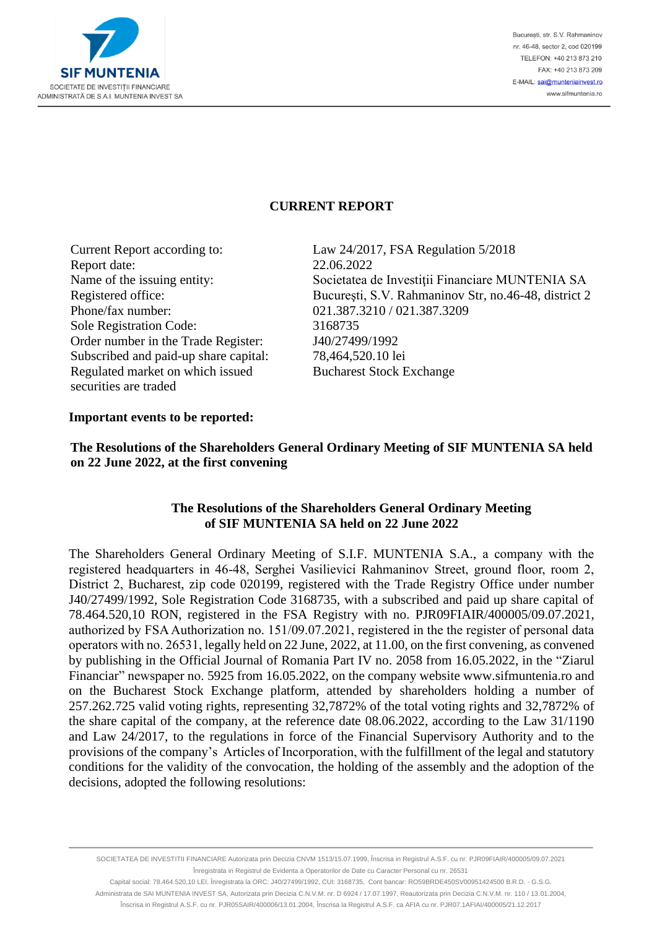

## **CURRENT REPORT**

Report date: 22.06.2022 Phone/fax number: 021.387.3210 / 021.387.3209 Sole Registration Code: 3168735 Order number in the Trade Register: J40/27499/1992 Subscribed and paid-up share capital: 78,464,520.10 lei Regulated market on which issued securities are traded

Current Report according to: Law 24/2017, FSA Regulation 5/2018 Name of the issuing entity: Societatea de Investiții Financiare MUNTENIA SA Registered office: Bucureşti, S.V. Rahmaninov Str, no.46-48, district 2 Bucharest Stock Exchange

#### **Important events to be reported:**

### **The Resolutions of the Shareholders General Ordinary Meeting of SIF MUNTENIA SA held on 22 June 2022, at the first convening**

### **The Resolutions of the Shareholders General Ordinary Meeting of SIF MUNTENIA SA held on 22 June 2022**

The Shareholders General Ordinary Meeting of S.I.F. MUNTENIA S.A., a company with the registered headquarters in 46-48, Serghei Vasilievici Rahmaninov Street, ground floor, room 2, District 2, Bucharest, zip code 020199, registered with the Trade Registry Office under number J40/27499/1992, Sole Registration Code 3168735, with a subscribed and paid up share capital of 78.464.520,10 RON, registered in the FSA Registry with no. PJR09FIAIR/400005/09.07.2021, authorized by FSA Authorization no. 151/09.07.2021, registered in the the register of personal data operators with no. 26531, legally held on 22 June, 2022, at 11.00, on the first convening, as convened by publishing in the Official Journal of Romania Part IV no. 2058 from 16.05.2022, in the "Ziarul Financiar" newspaper no. 5925 from 16.05.2022, on the company website [www.sifmuntenia.ro](http://www.sifmuntenia.ro/) and on the Bucharest Stock Exchange platform, attended by shareholders holding a number of 257.262.725 valid voting rights, representing 32,7872% of the total voting rights and 32,7872% of the share capital of the company, at the reference date 08.06.2022, according to the Law 31/1190 and Law 24/2017, to the regulations in force of the Financial Supervisory Authority and to the provisions of the company's Articles of Incorporation, with the fulfillment of the legal and statutory conditions for the validity of the convocation, the holding of the assembly and the adoption of the decisions, adopted the following resolutions:

SOCIETATEA DE INVESTITII FINANCIARE Autorizata prin Decizia CNVM 1513/15.07.1999, Înscrisa in Registrul A.S.F. cu nr. PJR09FIAIR/400005/09.07.2021 Înregistrata in Registrul de Evidenta a Operatorilor de Date cu Caracter Personal cu nr. 26531

Capital social: 78.464.520,10 LEI, Înregistrata la ORC: J40/27499/1992, CUI: 3168735, Cont bancar: RO59BRDE450SV00951424500 B.R.D. - G.S.G. Administrata de SAI MUNTENIA INVEST SA, Autorizata prin Decizia C.N.V.M. nr. D 6924 / 17.07.1997, Reautorizata prin Decizia C.N.V.M. nr. 110 / 13.01.2004, Înscrisa in Registrul A.S.F. cu nr. PJR05SAIR/400006/13.01.2004, Înscrisa la Registrul A.S.F. ca AFIA cu nr. PJR07.1AFIAI/400005/21.12.2017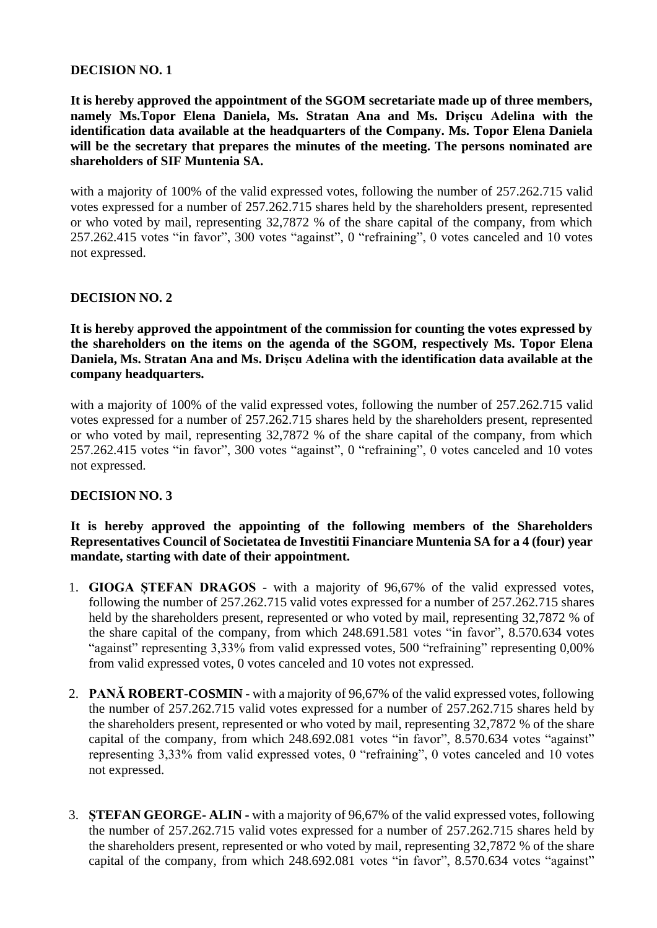### **DECISION NO. 1**

**It is hereby approved the appointment of the SGOM secretariate made up of three members, namely Ms.Topor Elena Daniela, Ms. Stratan Ana and Ms. Drișcu Adelina with the identification data available at the headquarters of the Company. Ms. Topor Elena Daniela will be the secretary that prepares the minutes of the meeting. The persons nominated are shareholders of SIF Muntenia SA.**

with a majority of 100% of the valid expressed votes, following the number of 257.262.715 valid votes expressed for a number of 257.262.715 shares held by the shareholders present, represented or who voted by mail, representing 32,7872 % of the share capital of the company, from which 257.262.415 votes "in favor", 300 votes "against", 0 "refraining", 0 votes canceled and 10 votes not expressed.

### **DECISION NO. 2**

**It is hereby approved the appointment of the commission for counting the votes expressed by the shareholders on the items on the agenda of the SGOM, respectively Ms. Topor Elena Daniela, Ms. Stratan Ana and Ms. Drișcu Adelina with the identification data available at the company headquarters.**

with a majority of 100% of the valid expressed votes, following the number of 257.262.715 valid votes expressed for a number of 257.262.715 shares held by the shareholders present, represented or who voted by mail, representing 32,7872 % of the share capital of the company, from which 257.262.415 votes "in favor", 300 votes "against", 0 "refraining", 0 votes canceled and 10 votes not expressed.

# **DECISION NO. 3**

**It is hereby approved the appointing of the following members of the Shareholders Representatives Council of Societatea de Investitii Financiare Muntenia SA for a 4 (four) year mandate, starting with date of their appointment.**

- 1. **GIOGA ȘTEFAN DRAGOS** with a majority of 96,67% of the valid expressed votes, following the number of 257.262.715 valid votes expressed for a number of 257.262.715 shares held by the shareholders present, represented or who voted by mail, representing 32,7872 % of the share capital of the company, from which 248.691.581 votes "in favor", 8.570.634 votes "against" representing 3,33% from valid expressed votes, 500 "refraining" representing 0,00% from valid expressed votes, 0 votes canceled and 10 votes not expressed.
- 2. **PANĂ ROBERT**-**COSMIN** with a majority of 96,67% of the valid expressed votes, following the number of 257.262.715 valid votes expressed for a number of 257.262.715 shares held by the shareholders present, represented or who voted by mail, representing 32,7872 % of the share capital of the company, from which 248.692.081 votes "in favor", 8.570.634 votes "against" representing 3,33% from valid expressed votes, 0 "refraining", 0 votes canceled and 10 votes not expressed.
- 3. **ȘTEFAN GEORGE- ALIN -** with a majority of 96,67% of the valid expressed votes, following the number of 257.262.715 valid votes expressed for a number of 257.262.715 shares held by the shareholders present, represented or who voted by mail, representing 32,7872 % of the share capital of the company, from which 248.692.081 votes "in favor", 8.570.634 votes "against"